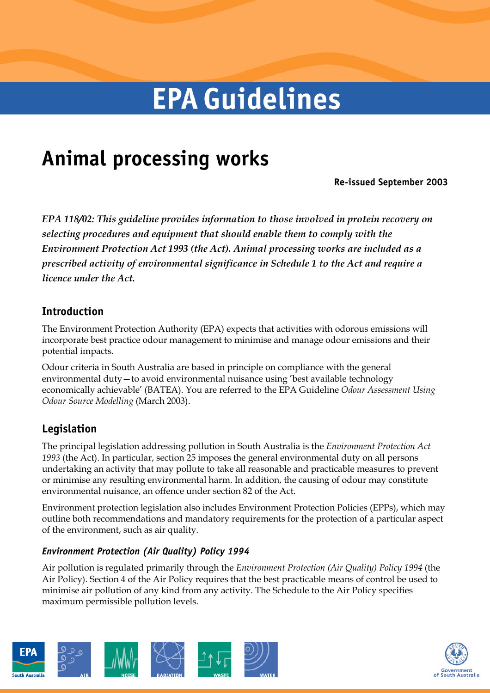# **EPA Guidelines**

# **Animal processing works**

**Re-issued September 2003** 

*EPA 118/02: This guideline provides information to those involved in protein recovery on selecting procedures and equipment that should enable them to comply with the Environment Protection Act 1993 (the Act). Animal processing works are included as a prescribed activity of environmental significance in Schedule 1 to the Act and require a licence under the Act.* 

# **Introduction**

The Environment Protection Authority (EPA) expects that activities with odorous emissions will incorporate best practice odour management to minimise and manage odour emissions and their potential impacts.

Odour criteria in South Australia are based in principle on compliance with the general environmental duty—to avoid environmental nuisance using 'best available technology economically achievable' (BATEA). You are referred to the EPA Guideline *Odour Assessment Using Odour Source Modelling* (March 2003).

# **Legislation**

The principal legislation addressing pollution in South Australia is the *Environment Protection Act 1993* (the Act). In particular, section 25 imposes the general environmental duty on all persons undertaking an activity that may pollute to take all reasonable and practicable measures to prevent or minimise any resulting environmental harm. In addition, the causing of odour may constitute environmental nuisance, an offence under section 82 of the Act.

Environment protection legislation also includes Environment Protection Policies (EPPs), which may outline both recommendations and mandatory requirements for the protection of a particular aspect of the environment, such as air quality.

# *Environment Protection (Air Quality) Policy 1994*

Air pollution is regulated primarily through the *Environment Protection (Air Quality) Policy 1994* (the Air Policy). Section 4 of the Air Policy requires that the best practicable means of control be used to minimise air pollution of any kind from any activity. The Schedule to the Air Policy specifies maximum permissible pollution levels.



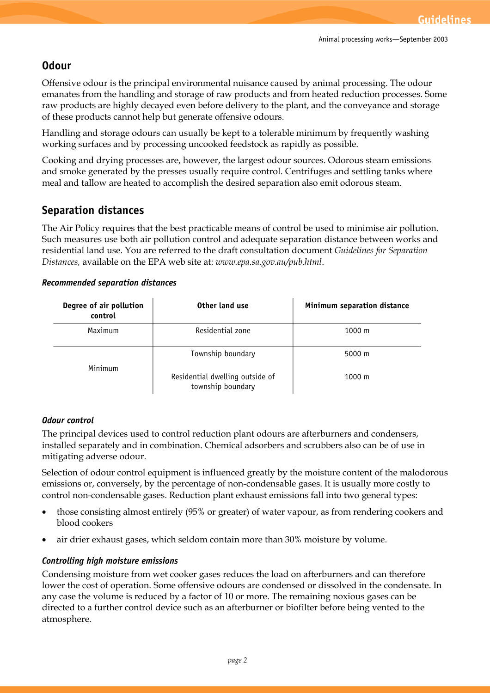# **Odour**

Offensive odour is the principal environmental nuisance caused by animal processing. The odour emanates from the handling and storage of raw products and from heated reduction processes. Some raw products are highly decayed even before delivery to the plant, and the conveyance and storage of these products cannot help but generate offensive odours.

Handling and storage odours can usually be kept to a tolerable minimum by frequently washing working surfaces and by processing uncooked feedstock as rapidly as possible.

Cooking and drying processes are, however, the largest odour sources. Odorous steam emissions and smoke generated by the presses usually require control. Centrifuges and settling tanks where meal and tallow are heated to accomplish the desired separation also emit odorous steam.

## **Separation distances**

The Air Policy requires that the best practicable means of control be used to minimise air pollution. Such measures use both air pollution control and adequate separation distance between works and residential land use. You are referred to the draft consultation document *Guidelines for Separation Distances,* available on the EPA web site at: *www.epa.sa.gov.au/pub.html*.

#### *Recommended separation distances*

| Degree of air pollution<br>control | Other land use                                       | Minimum separation distance |
|------------------------------------|------------------------------------------------------|-----------------------------|
| Maximum                            | Residential zone                                     | $1000 \;{\rm m}$            |
| Minimum                            | Township boundary                                    | $5000 \; \text{m}$          |
|                                    | Residential dwelling outside of<br>township boundary | $1000 \; \text{m}$          |

#### *Odour control*

The principal devices used to control reduction plant odours are afterburners and condensers, installed separately and in combination. Chemical adsorbers and scrubbers also can be of use in mitigating adverse odour.

Selection of odour control equipment is influenced greatly by the moisture content of the malodorous emissions or, conversely, by the percentage of non-condensable gases. It is usually more costly to control non-condensable gases. Reduction plant exhaust emissions fall into two general types:

- · those consisting almost entirely (95% or greater) of water vapour, as from rendering cookers and blood cookers
- air drier exhaust gases, which seldom contain more than  $30\%$  moisture by volume.

#### *Controlling high moisture emissions*

Condensing moisture from wet cooker gases reduces the load on afterburners and can therefore lower the cost of operation. Some offensive odours are condensed or dissolved in the condensate. In any case the volume is reduced by a factor of 10 or more. The remaining noxious gases can be directed to a further control device such as an afterburner or biofilter before being vented to the atmosphere.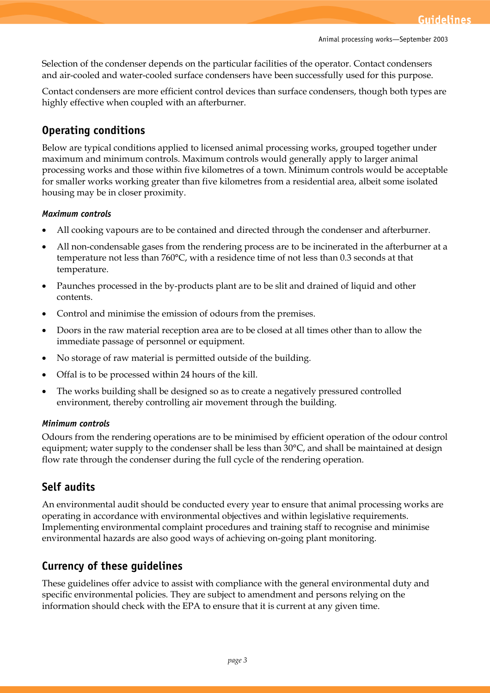Selection of the condenser depends on the particular facilities of the operator. Contact condensers and air-cooled and water-cooled surface condensers have been successfully used for this purpose.

Contact condensers are more efficient control devices than surface condensers, though both types are highly effective when coupled with an afterburner.

# **Operating conditions**

Below are typical conditions applied to licensed animal processing works, grouped together under maximum and minimum controls. Maximum controls would generally apply to larger animal processing works and those within five kilometres of a town. Minimum controls would be acceptable for smaller works working greater than five kilometres from a residential area, albeit some isolated housing may be in closer proximity.

#### *Maximum controls*

- All cooking vapours are to be contained and directed through the condenser and afterburner.
- All non-condensable gases from the rendering process are to be incinerated in the afterburner at a temperature not less than 760°C, with a residence time of not less than 0.3 seconds at that temperature.
- · Paunches processed in the by-products plant are to be slit and drained of liquid and other contents.
- · Control and minimise the emission of odours from the premises.
- · Doors in the raw material reception area are to be closed at all times other than to allow the immediate passage of personnel or equipment.
- · No storage of raw material is permitted outside of the building.
- Offal is to be processed within 24 hours of the kill.
- · The works building shall be designed so as to create a negatively pressured controlled environment, thereby controlling air movement through the building.

#### *Minimum controls*

Odours from the rendering operations are to be minimised by efficient operation of the odour control equipment; water supply to the condenser shall be less than 30°C, and shall be maintained at design flow rate through the condenser during the full cycle of the rendering operation.

# **Self audits**

An environmental audit should be conducted every year to ensure that animal processing works are operating in accordance with environmental objectives and within legislative requirements. Implementing environmental complaint procedures and training staff to recognise and minimise environmental hazards are also good ways of achieving on-going plant monitoring.

# **Currency of these guidelines**

These guidelines offer advice to assist with compliance with the general environmental duty and specific environmental policies. They are subject to amendment and persons relying on the information should check with the EPA to ensure that it is current at any given time.